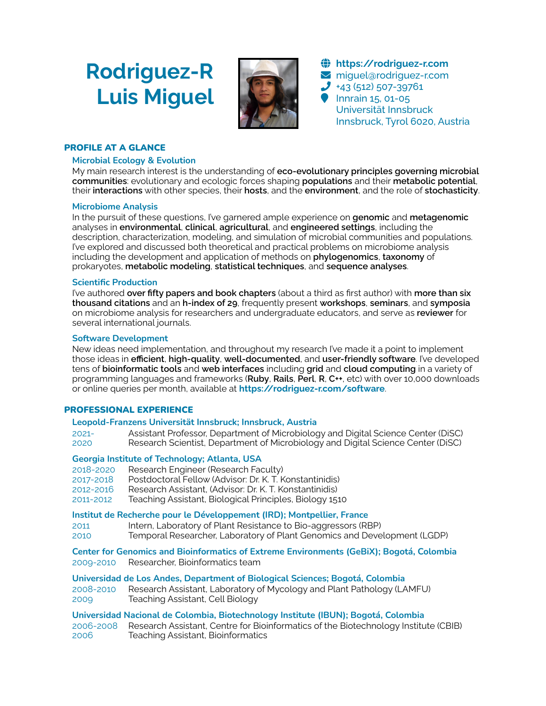# **Rodriguez-R Luis Miguel**



! **[https://rodriguez-r.com](https://rodriguez-r.com/)**  $\blacktriangleright$  miguel@rodriguez-r.com  $\bigcup$  +43 (512) 507-39761 **Innrain 15, 01-05** Universität Innsbruck Innsbruck, Tyrol 6020, Austria

# PROFILE AT A GLANCE

# **Microbial Ecology & Evolution**

My main research interest is the understanding of **eco-evolutionary principles governing microbial communities**: evolutionary and ecologic forces shaping **populations** and their **metabolic potential**, their **interactions** with other species, their **hosts**, and the **environment**, and the role of **stochasticity**.

# **Microbiome Analysis**

In the pursuit of these questions, I've garnered ample experience on **genomic** and **metagenomic** analyses in **environmental**, **clinical**, **agricultural**, and **engineered settings**, including the description, characterization, modeling, and simulation of microbial communities and populations. I've explored and discussed both theoretical and practical problems on microbiome analysis including the development and application of methods on **phylogenomics**, **taxonomy** of prokaryotes, **metabolic modeling**, **statistical techniques**, and **sequence analyses**.

# **Scientific Production**

I've authored **over fifty papers and book chapters** (about a third as first author) with **more than six thousand citations** and an **h-index of 29**, frequently present **workshops**, **seminars**, and **symposia** on microbiome analysis for researchers and undergraduate educators, and serve as **reviewer** for several international journals.

# **Software Development**

New ideas need implementation, and throughout my research I've made it a point to implement those ideas in **efficient**, **high-quality**, **well-documented**, and **user-friendly software**. I've developed tens of **bioinformatic tools** and **web interfaces** including **grid** and **cloud computing** in a variety of programming languages and frameworks (**Ruby**, **Rails**, **Perl**, **R**, **C++**, etc) with over 10,000 downloads or online queries per month, available at **<https://rodriguez-r.com/software>**.

# PROFESSIONAL EXPERIENCE

# **Leopold-Franzens Universität Innsbruck; Innsbruck, Austria**

2021- Assistant Professor, Department of Microbiology and Digital Science Center (DiSC) 2020 Research Scientist, Department of Microbiology and Digital Science Center (DiSC)

# **Georgia Institute of Technology; Atlanta, USA**

- 2018-2020 Research Engineer (Research Faculty)
- 2017-2018 Postdoctoral Fellow (Advisor: Dr. K. T. Konstantinidis)
- 2012-2016 Research Assistant, (Advisor: Dr. K. T. Konstantinidis)
- Teaching Assistant, Biological Principles, Biology 1510

# **Institut de Recherche pour le Développement (IRD); Montpellier, France**

- 2011 Intern, Laboratory of Plant Resistance to Bio-aggressors (RBP)
- 2010 Temporal Researcher, Laboratory of Plant Genomics and Development (LGDP)

**Center for Genomics and Bioinformatics of Extreme Environments (GeBiX); Bogotá, Colombia** 2009-2010 Researcher, Bioinformatics team

**Universidad de Los Andes, Department of Biological Sciences; Bogotá, Colombia**

2008-2010 Research Assistant, Laboratory of Mycology and Plant Pathology (LAMFU) 2009 Teaching Assistant, Cell Biology

# **Universidad Nacional de Colombia, Biotechnology Institute (IBUN); Bogotá, Colombia**

2006-2008 Research Assistant, Centre for Bioinformatics of the Biotechnology Institute (CBIB) 2006 Teaching Assistant, Bioinformatics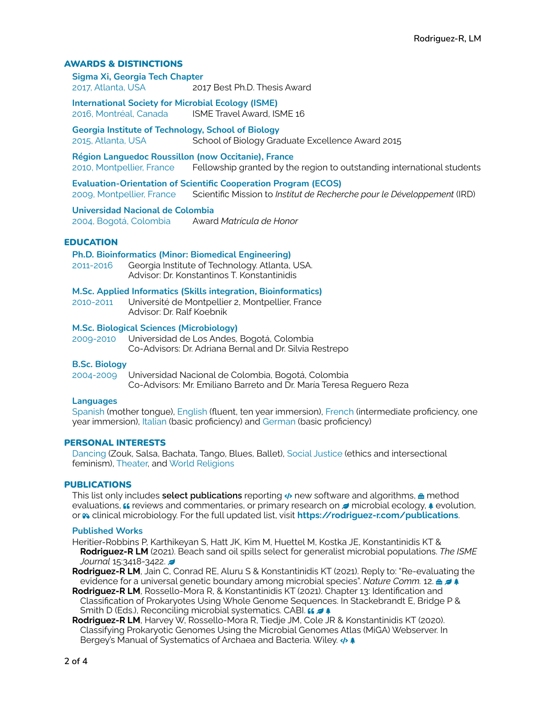# AWARDS & DISTINCTIONS

**Sigma Xi, Georgia Tech Chapter** 2017, Atlanta, USA 2017 Best Ph.D. Thesis Award

**International Society for Microbial Ecology (ISME)** 2016, Montréal, Canada ISME Travel Award, ISME 16

**Georgia Institute of Technology, School of Biology** 2015, Atlanta, USA School of Biology Graduate Excellence Award 2015

**Région Languedoc Roussillon (now Occitanie), France** 2010, Montpellier, France Fellowship granted by the region to outstanding international students

**Evaluation-Orientation of Scientific Cooperation Program (ECOS)** 2009, Montpellier, France Scientific Mission to *Institut de Recherche pour le Développement* (IRD)

**Universidad Nacional de Colombia** 2004, Bogotá, Colombia Award *Matrícula de Honor*

# EDUCATION

**Ph.D. Bioinformatics (Minor: Biomedical Engineering)**

2011-2016 Georgia Institute of Technology. Atlanta, USA. Advisor: Dr. Konstantinos T. Konstantinidis

**M.Sc. Applied Informatics (Skills integration, Bioinformatics)**

2010-2011 Université de Montpellier 2, Montpellier, France Advisor: Dr. Ralf Koebnik

# **M.Sc. Biological Sciences (Microbiology)**

2009-2010 Universidad de Los Andes, Bogotá, Colombia Co-Advisors: Dr. Adriana Bernal and Dr. Silvia Restrepo

#### **B.Sc. Biology**

2004-2009 Universidad Nacional de Colombia, Bogotá, Colombia Co-Advisors: Mr. Emiliano Barreto and Dr. María Teresa Reguero Reza

#### **Languages**

Spanish (mother tongue), English (fluent, ten year immersion), French (intermediate proficiency, one year immersion), Italian (basic proficiency) and German (basic proficiency)

#### PERSONAL INTERESTS

Dancing (Zouk, Salsa, Bachata, Tango, Blues, Ballet), Social Justice (ethics and intersectional feminism), Theater, and World Religions

#### PUBLICATIONS

This list only includes **select publications** reporting  $\psi$  new software and algorithms, **a** method evaluations,  $\mu$  reviews and commentaries, or primary research on  $\sigma$  microbial ecology,  $\ast$  evolution, or \* clinical microbiology. For the full updated list, visit **<https://rodriguez-r.com/publications>**.

#### **Published Works**

- Heritier-Robbins P, Karthikeyan S, Hatt JK, Kim M, Huettel M, Kostka JE, Konstantinidis KT & **Rodriguez-R LM** (2021). Beach sand oil spills select for generalist microbial populations. *The ISME Journal* 15:3418-3422.
- **Rodriguez-R LM**, Jain C, Conrad RE, Aluru S & Konstantinidis KT (2021). Reply to: "Re-evaluating the evidence for a universal genetic boundary among microbial species". *Nature Comm.* 12. **a**  $\neq$
- **Rodriguez-R LM**, Rossello-Mora R, & Konstantinidis KT (2021). Chapter 13: Identification and Classification of Prokaryotes Using Whole Genome Sequences. In Stackebrandt E, Bridge P & Smith D (Eds.), Reconciling microbial systematics. CABI. **66 2 4**
- **Rodriguez-R LM**, Harvey W, Rossello-Mora R, Tiedje JM, Cole JR & Konstantinidis KT (2020). Classifying Prokaryotic Genomes Using the Microbial Genomes Atlas (MiGA) Webserver. In Bergey's Manual of Systematics of Archaea and Bacteria. Wiley.  $\leftrightarrow \bullet$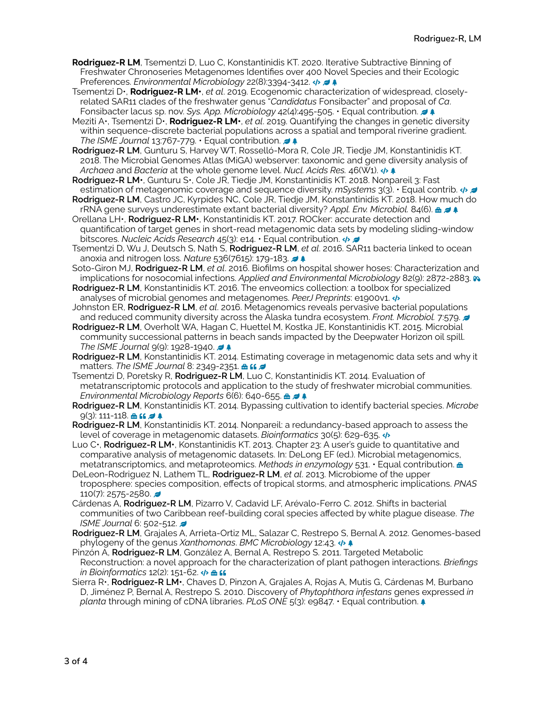- **Rodriguez-R LM**, Tsementzi D, Luo C, Konstantinidis KT. 2020. Iterative Subtractive Binning of Freshwater Chronoseries Metagenomes Identifies over 400 Novel Species and their Ecologic Preferences. *Environmental Microbiology* 22(8):3394-3412.  $\leftrightarrow$   $\leftrightarrow$
- Tsementzi D•, **Rodriguez-R LM•**, *et al*. 2019. Ecogenomic characterization of widespread, closelyrelated SAR11 clades of the freshwater genus "*Candidatus* Fonsibacter" and proposal of *Ca*. **Fonsibacter lacus sp. nov. Sys. App. Microbiology 42(4):495-505. • Equal contribution.**  $\neq$
- Meziti A•, Tsementzi D•, **Rodriguez-R LM•**, *et al*. 2019. Quantifying the changes in genetic diversity within sequence-discrete bacterial populations across a spatial and temporal riverine gradient. *The ISME Journal* 13:767-779. • Equal contribution.
- **Rodriguez-R LM**, Gunturu S, Harvey WT, Rosselló-Mora R, Cole JR, Tiedje JM, Konstantinidis KT. 2018. The Microbial Genomes Atlas (MiGA) webserver: taxonomic and gene diversity analysis of *Archaea* and *Bacteria* at the whole genome level. *Nucl. Acids Res.* 46(W1). % )
- **Rodriguez-R LM•**, Gunturu S•, Cole JR, Tiedje JM, Konstantinidis KT. 2018. Nonpareil 3: Fast estimation of metagenomic coverage and sequence diversity. *mSystems* 3(3). • Equal contrib. % (
- **Rodriguez-R LM**, Castro JC, Kyrpides NC, Cole JR, Tiedje JM, Konstantinidis KT. 2018. How much do rRNA gene surveys underestimate extant bacterial diversity? *Appl. Env. Microbiol.* 84(6). & ( )
- Orellana LH•, **Rodriguez-R LM•**, Konstantinidis KT. 2017. ROCker: accurate detection and quantification of target genes in short-read metagenomic data sets by modeling sliding-window bitscores. *Nucleic Acids Research* 45(3): e14. • Equal contribution. % (
- Tsementzi D, Wu J, Deutsch S, Nath S, **Rodriguez-R LM**, *et al*. 2016. SAR11 bacteria linked to ocean anoxia and nitrogen loss. *Nature* 536(7615): 179-183.
- Soto-Giron MJ, **Rodriguez-R LM**, *et al*. 2016. Biofilms on hospital shower hoses: Characterization and implications for nosocomial infections. *Applied and Environmental Microbiology* 82(9): 2872-2883.
- **Rodriguez-R LM**, Konstantinidis KT. 2016. The enveomics collection: a toolbox for specialized analyses of microbial genomes and metagenomes. *PeerJ Preprints*: e1900v1. %
- Johnston ER, **Rodriguez-R LM**, *et al*. 2016. Metagenomics reveals pervasive bacterial populations and reduced community diversity across the Alaska tundra ecosystem. *Front. Microbiol.* 7:579. (
- **Rodriguez-R LM**, Overholt WA, Hagan C, Huettel M, Kostka JE, Konstantinidis KT. 2015. Microbial community successional patterns in beach sands impacted by the Deepwater Horizon oil spill. *The ISME Journal 9(9): 1928-1940.*  $\blacktriangleright$
- **Rodriguez-R LM**, Konstantinidis KT. 2014. Estimating coverage in metagenomic data sets and why it matters. The ISME Journal 8: 2349-2351. **A ii /**
- Tsementzi D, Poretsky R, **Rodriguez-R LM**, Luo C, Konstantinidis KT. 2014. Evaluation of metatranscriptomic protocols and application to the study of freshwater microbial communities. **Environmental Microbiology Reports 6(6): 640-655. & 2 \$**
- **Rodriguez-R LM**, Konstantinidis KT. 2014. Bypassing cultivation to identify bacterial species. *Microbe*   $9(3)$ : 111-118.  $\triangleq$  66  $\neq$   $\triangleq$
- **Rodriguez-R LM**, Konstantinidis KT. 2014. Nonpareil: a redundancy-based approach to assess the level of coverage in metagenomic datasets. *Bioinformatics* 30(5): 629-635. %
- Luo C•, **Rodriguez-R LM•**, Konstantinidis KT. 2013. Chapter 23: A user's guide to quantitative and comparative analysis of metagenomic datasets. In: DeLong EF (ed.). Microbial metagenomics, metatranscriptomics, and metaproteomics. *Methods in enzymology* 531. • Equal contribution. &
- DeLeon-Rodriguez N, Lathem TL, **Rodriguez-R LM**, *et al*. 2013. Microbiome of the upper troposphere: species composition, effects of tropical storms, and atmospheric implications. *PNAS*   $110(7)$  2575-2580.
- Cárdenas A, **Rodriguez-R LM**, Pizarro V, Cadavid LF, Arévalo-Ferro C. 2012. Shifts in bacterial communities of two Caribbean reef-building coral species affected by white plague disease. *The ISME Journal 6: 502-512.*
- **Rodriguez-R LM**, Grajales A, Arrieta-Ortiz ML, Salazar C, Restrepo S, Bernal A. 2012. Genomes-based phylogeny of the genus *Xanthomonas*. *BMC Microbiology* 12:43. % )
- Pinzón A, **Rodriguez-R LM**, González A, Bernal A, Restrepo S. 2011. Targeted Metabolic Reconstruction: a novel approach for the characterization of plant pathogen interactions. *Briefings in Bioinformatics* 12(2): 151-62.  $\leftrightarrow$  **8 ff**
- Sierra R•, **Rodriguez-R LM•**, Chaves D, Pinzon A, Grajales A, Rojas A, Mutis G, Cárdenas M, Burbano D, Jiménez P, Bernal A, Restrepo S. 2010. Discovery of *Phytophthora infestans* genes expressed *in planta* through mining of cDNA libraries. *PLoS ONE* 5(3): e9847. • Equal contribution. )